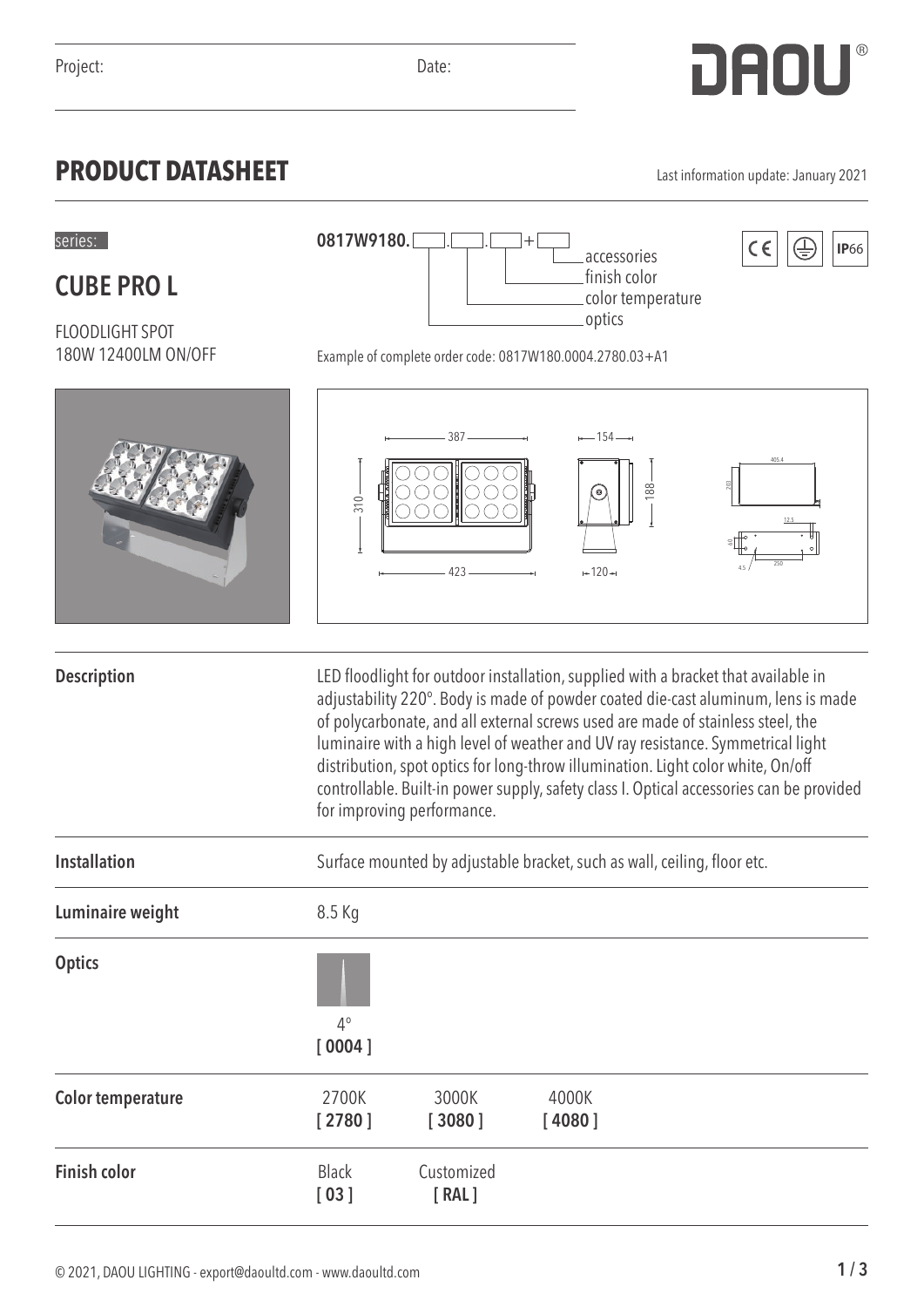**CUBE PRO L**

## **PRODUCT DATASHEET** Last information update: January 2021

accessories finish color color temperature

optics

| <b>FLOODLIGHT SPOT</b><br>180W 12400LM ON/OFF | .υμιιω<br>Example of complete order code: 0817W180.0004.2780.03+A1                                                                                                                                                                                                                                                                                                                                                                                                                                                                                          |                     |                                   |       |
|-----------------------------------------------|-------------------------------------------------------------------------------------------------------------------------------------------------------------------------------------------------------------------------------------------------------------------------------------------------------------------------------------------------------------------------------------------------------------------------------------------------------------------------------------------------------------------------------------------------------------|---------------------|-----------------------------------|-------|
|                                               | 310.                                                                                                                                                                                                                                                                                                                                                                                                                                                                                                                                                        | $387$ —<br>$423 -$  | $--154-$<br>188<br>ِ ©<br>$+120+$ | 405.4 |
| <b>Description</b>                            | LED floodlight for outdoor installation, supplied with a bracket that available in<br>adjustability 220°. Body is made of powder coated die-cast aluminum, lens is made<br>of polycarbonate, and all external screws used are made of stainless steel, the<br>luminaire with a high level of weather and UV ray resistance. Symmetrical light<br>distribution, spot optics for long-throw illumination. Light color white, On/off<br>controllable. Built-in power supply, safety class I. Optical accessories can be provided<br>for improving performance. |                     |                                   |       |
| <b>Installation</b>                           | Surface mounted by adjustable bracket, such as wall, ceiling, floor etc.                                                                                                                                                                                                                                                                                                                                                                                                                                                                                    |                     |                                   |       |
| Luminaire weight                              | 8.5 Kg                                                                                                                                                                                                                                                                                                                                                                                                                                                                                                                                                      |                     |                                   |       |
| <b>Optics</b>                                 | $4^{\circ}$<br>[0004]                                                                                                                                                                                                                                                                                                                                                                                                                                                                                                                                       |                     |                                   |       |
| <b>Color temperature</b>                      | 2700K<br>[2780]                                                                                                                                                                                                                                                                                                                                                                                                                                                                                                                                             | 3000K<br>[3080]     | 4000K<br>[4080]                   |       |
| <b>Finish color</b>                           | <b>Black</b><br>[03]                                                                                                                                                                                                                                                                                                                                                                                                                                                                                                                                        | Customized<br>[RAL] |                                   |       |

series:  $0817W9180.$   $\Box$   $\Box$   $+$   $\Box$  accessories  $|\zeta \epsilon|$   $|\overline{\Leftrightarrow}|$  |IP66

**0817W9180.**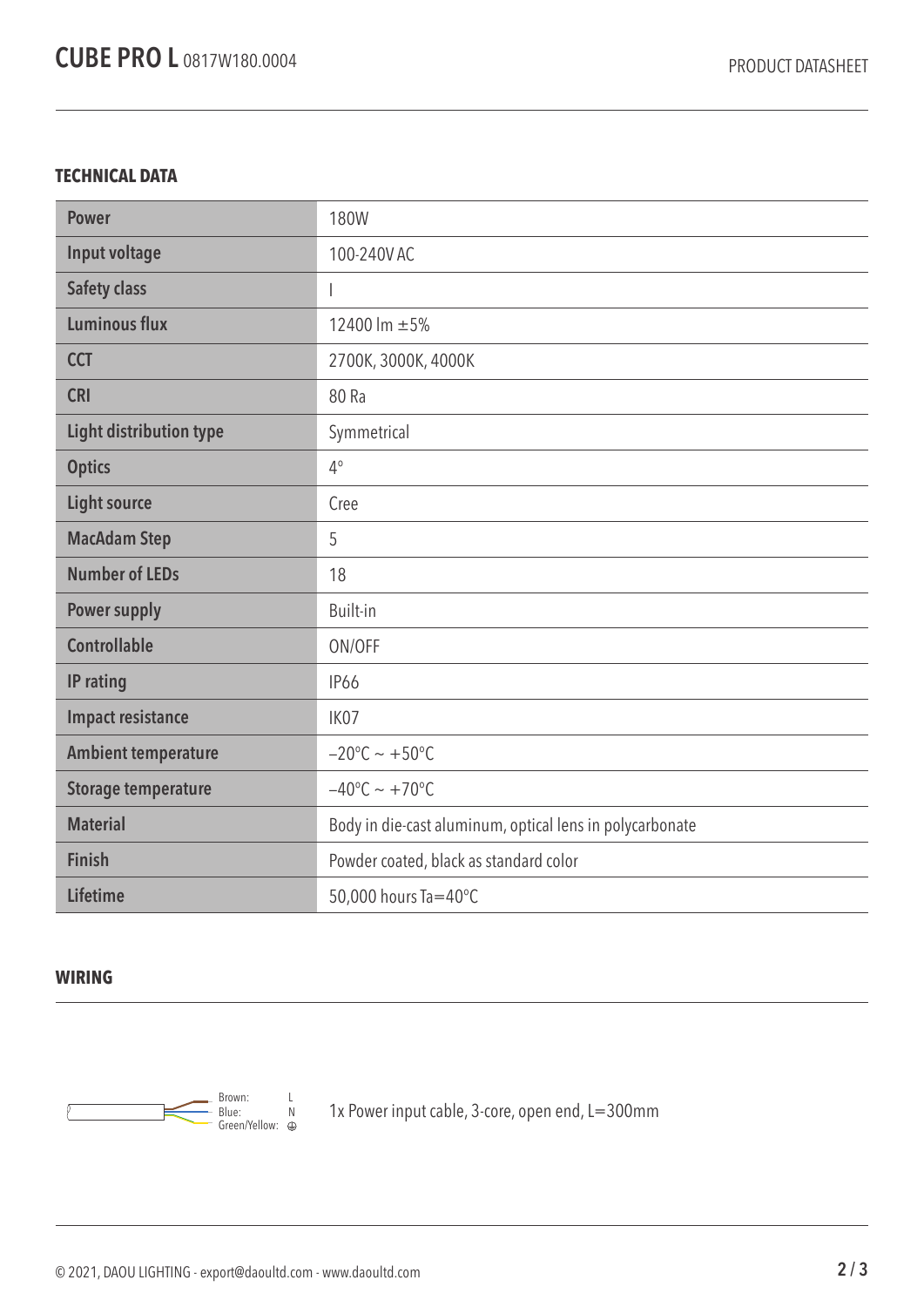## **TECHNICAL DATA**

| <b>Power</b>                   | <b>180W</b>                                              |  |  |
|--------------------------------|----------------------------------------------------------|--|--|
| Input voltage                  | 100-240V AC                                              |  |  |
| <b>Safety class</b>            |                                                          |  |  |
| <b>Luminous flux</b>           | 12400 lm ±5%                                             |  |  |
| <b>CCT</b>                     | 2700K, 3000K, 4000K                                      |  |  |
| <b>CRI</b>                     | 80 Ra                                                    |  |  |
| <b>Light distribution type</b> | Symmetrical                                              |  |  |
| <b>Optics</b>                  | $4^{\circ}$                                              |  |  |
| <b>Light source</b>            | Cree                                                     |  |  |
| <b>MacAdam Step</b>            | 5                                                        |  |  |
| <b>Number of LEDs</b>          | 18                                                       |  |  |
| <b>Power supply</b>            | Built-in                                                 |  |  |
| <b>Controllable</b>            | ON/OFF                                                   |  |  |
| IP rating                      | <b>IP66</b>                                              |  |  |
| <b>Impact resistance</b>       | IK07                                                     |  |  |
| <b>Ambient temperature</b>     | $-20^{\circ}$ C ~ +50°C                                  |  |  |
| <b>Storage temperature</b>     | $-40^{\circ}$ C ~ +70°C                                  |  |  |
| <b>Material</b>                | Body in die-cast aluminum, optical lens in polycarbonate |  |  |
| <b>Finish</b>                  | Powder coated, black as standard color                   |  |  |
| <b>Lifetime</b>                | 50,000 hours Ta=40°C                                     |  |  |

## **WIRING**



1x Power input cable, 3-core, open end, L=300mm